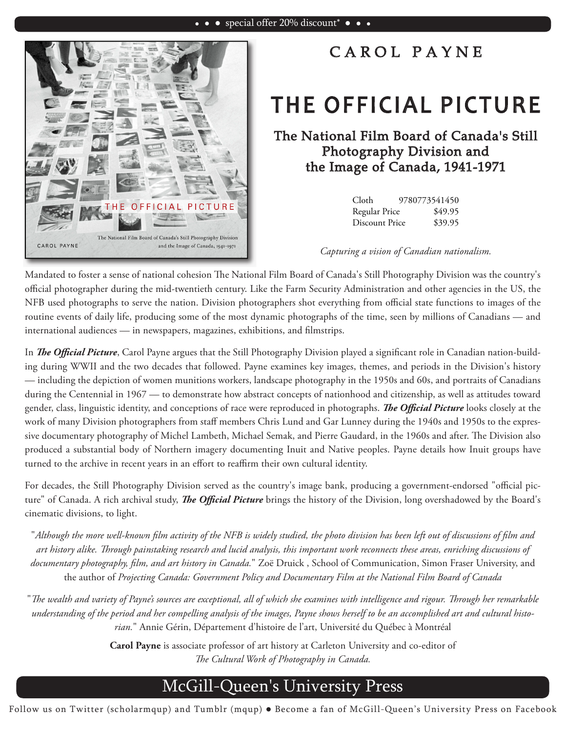

## CAROL PAYNE

## THE OFFICIAL PICTURE

The National Film Board of Canada's Still Photography Division and the Image of Canada, 1941-1971

| Cloth          | 9780773541450 |
|----------------|---------------|
| Regular Price  | \$49.95       |
| Discount Price | \$39.95       |

*Capturing a vision of Canadian nationalism.*

Mandated to foster a sense of national cohesion The National Film Board of Canada's Still Photography Division was the country's official photographer during the mid-twentieth century. Like the Farm Security Administration and other agencies in the US, the NFB used photographs to serve the nation. Division photographers shot everything from official state functions to images of the routine events of daily life, producing some of the most dynamic photographs of the time, seen by millions of Canadians — and international audiences — in newspapers, magazines, exhibitions, and filmstrips.

In *The Official Picture*, Carol Payne argues that the Still Photography Division played a significant role in Canadian nation-building during WWII and the two decades that followed. Payne examines key images, themes, and periods in the Division's history — including the depiction of women munitions workers, landscape photography in the 1950s and 60s, and portraits of Canadians during the Centennial in 1967 — to demonstrate how abstract concepts of nationhood and citizenship, as well as attitudes toward gender, class, linguistic identity, and conceptions of race were reproduced in photographs. *The Official Picture* looks closely at the work of many Division photographers from staff members Chris Lund and Gar Lunney during the 1940s and 1950s to the expressive documentary photography of Michel Lambeth, Michael Semak, and Pierre Gaudard, in the 1960s and after. The Division also produced a substantial body of Northern imagery documenting Inuit and Native peoples. Payne details how Inuit groups have turned to the archive in recent years in an effort to reaffirm their own cultural identity.

For decades, the Still Photography Division served as the country's image bank, producing a government-endorsed "official picture" of Canada. A rich archival study, *The Official Picture* brings the history of the Division, long overshadowed by the Board's cinematic divisions, to light.

"*Although the more well-known !lm activity of the NFB is widely studied, the photo division has been left out of discussions of !lm and*  art history alike. Through painstaking research and lucid analysis, this important work reconnects these areas, enriching discussions of *documentary photography, !lm, and art history in Canada.*" Zoë Druick , School of Communication, Simon Fraser University, and the author of *Projecting Canada: Government Policy and Documentary Film at the National Film Board of Canada*

"The wealth and variety of Payne's sources are exceptional, all of which she examines with intelligence and rigour. Through her remarkable *understanding of the period and her compelling analysis of the images, Payne shows herself to be an accomplished art and cultural historian.*" Annie Gérin, Département d'histoire de l'art, Université du Québec à Montréal

> **Carol Payne** is associate professor of art history at Carleton University and co-editor of The Cultural Work of Photography in Canada.

## McGill-Queen's University Press

Follow us on Twitter (scholarmqup) and Tumblr (mqup) . Become a fan of McGill-Queen's University Press on Facebook